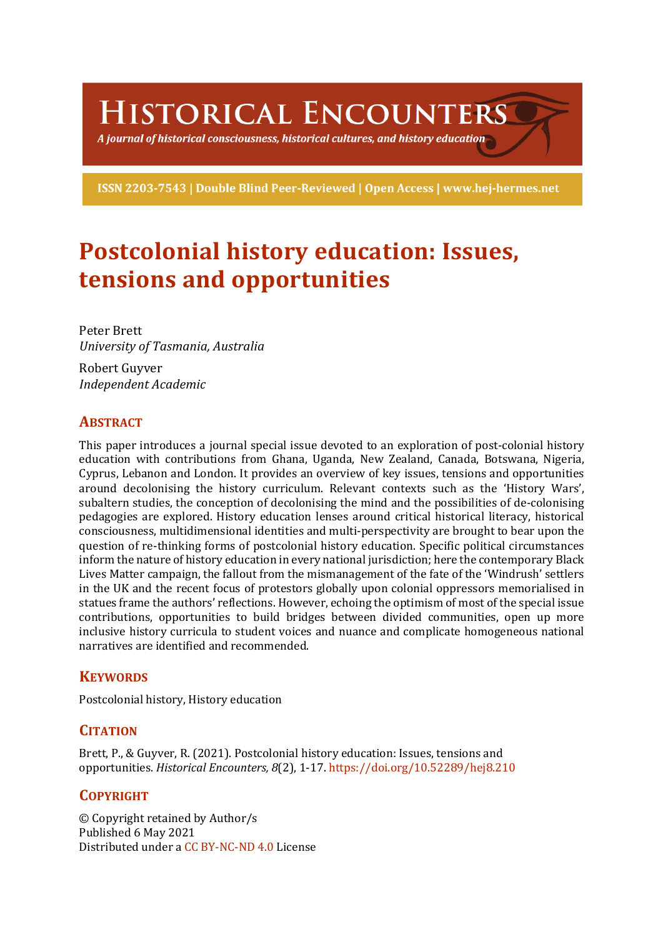HISTORICAL ENCOUNTERS

A journal of historical consciousness, historical cultures, and history education  $\geq$ 

ISSN 2203-7543 | Double Blind Peer-Reviewed | Open Access | www.hej-hermes.net

# **Postcolonial history education: Issues, tensions and opportunities**

Peter Brett *University of Tasmania, Australia*

Robert Guyver *Independent Academic*

## **ABSTRACT**

This paper introduces a journal special issue devoted to an exploration of post-colonial history education with contributions from Ghana, Uganda, New Zealand, Canada, Botswana, Nigeria, Cyprus, Lebanon and London. It provides an overview of key issues, tensions and opportunities around decolonising the history curriculum. Relevant contexts such as the 'History Wars', subaltern studies, the conception of decolonising the mind and the possibilities of de-colonising pedagogies are explored. History education lenses around critical historical literacy, historical consciousness, multidimensional identities and multi-perspectivity are brought to bear upon the question of re-thinking forms of postcolonial history education. Specific political circumstances inform the nature of history education in every national jurisdiction; here the contemporary Black Lives Matter campaign, the fallout from the mismanagement of the fate of the 'Windrush' settlers in the UK and the recent focus of protestors globally upon colonial oppressors memorialised in statues frame the authors' reflections. However, echoing the optimism of most of the special issue contributions, opportunities to build bridges between divided communities, open up more inclusive history curricula to student voices and nuance and complicate homogeneous national narratives are identified and recommended.

## **KEYWORDS**

Postcolonial history, History education

## **CITATION**

Brett, P., & Guyver, R. (2021). Postcolonial history education: Issues, tensions and opportunities. *Historical Encounters, 8*(2), 1-17. https://doi.org/10.52289/hej8.210

## **COPYRIGHT**

© Copyright retained by Author/s Published 6 May 2021 Distributed under a CC BY-NC-ND 4.0 License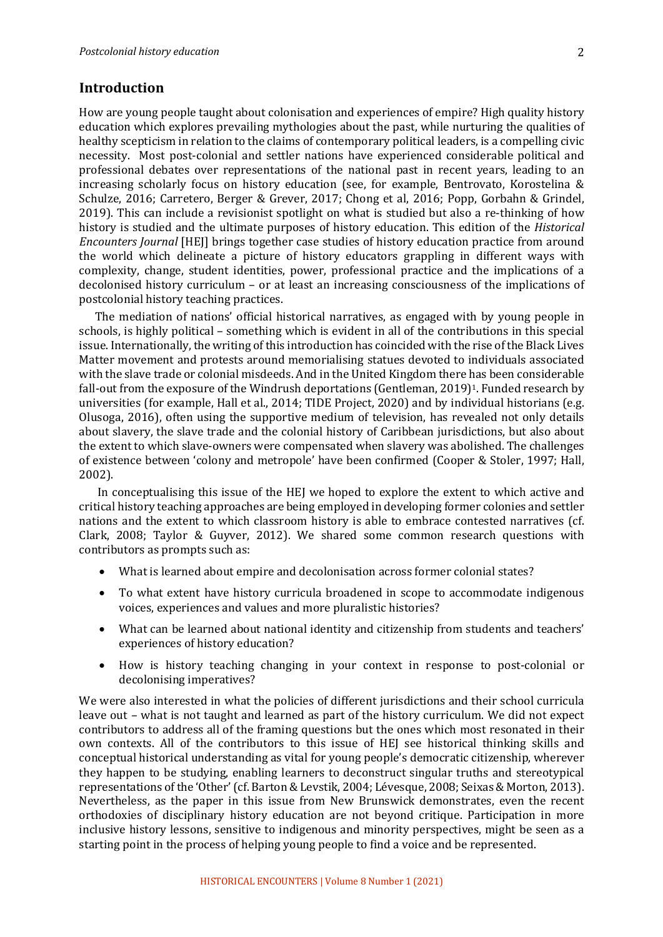#### **Introduction**

How are young people taught about colonisation and experiences of empire? High quality history education which explores prevailing mythologies about the past, while nurturing the qualities of healthy scepticism in relation to the claims of contemporary political leaders, is a compelling civic necessity. Most post-colonial and settler nations have experienced considerable political and professional debates over representations of the national past in recent years, leading to an increasing scholarly focus on history education (see, for example, Bentrovato, Korostelina  $\&$ Schulze, 2016; Carretero, Berger & Grever, 2017; Chong et al, 2016; Popp, Gorbahn & Grindel, 2019). This can include a revisionist spotlight on what is studied but also a re-thinking of how history is studied and the ultimate purposes of history education. This edition of the *Historical Encounters Journal* [HEJ] brings together case studies of history education practice from around the world which delineate a picture of history educators grappling in different ways with complexity, change, student identities, power, professional practice and the implications of a decolonised history curriculum – or at least an increasing consciousness of the implications of postcolonial history teaching practices.

The mediation of nations' official historical narratives, as engaged with by young people in schools, is highly political – something which is evident in all of the contributions in this special issue. Internationally, the writing of this introduction has coincided with the rise of the Black Lives Matter movement and protests around memorialising statues devoted to individuals associated with the slave trade or colonial misdeeds. And in the United Kingdom there has been considerable fall-out from the exposure of the Windrush deportations (Gentleman, 2019)<sup>1</sup>. Funded research by universities (for example, Hall et al., 2014; TIDE Project, 2020) and by individual historians (e.g. Olusoga, 2016), often using the supportive medium of television, has revealed not only details about slavery, the slave trade and the colonial history of Caribbean jurisdictions, but also about the extent to which slave-owners were compensated when slavery was abolished. The challenges of existence between 'colony and metropole' have been confirmed (Cooper & Stoler, 1997; Hall, 2002). 

In conceptualising this issue of the HEJ we hoped to explore the extent to which active and critical history teaching approaches are being employed in developing former colonies and settler nations and the extent to which classroom history is able to embrace contested narratives (cf. Clark, 2008; Taylor & Guyver, 2012). We shared some common research questions with contributors as prompts such as:

- What is learned about empire and decolonisation across former colonial states?
- To what extent have history curricula broadened in scope to accommodate indigenous voices, experiences and values and more pluralistic histories?
- What can be learned about national identity and citizenship from students and teachers' experiences of history education?
- How is history teaching changing in your context in response to post-colonial or decolonising imperatives?

We were also interested in what the policies of different jurisdictions and their school curricula leave out – what is not taught and learned as part of the history curriculum. We did not expect contributors to address all of the framing questions but the ones which most resonated in their own contexts. All of the contributors to this issue of HEJ see historical thinking skills and conceptual historical understanding as vital for young people's democratic citizenship, wherever they happen to be studying, enabling learners to deconstruct singular truths and stereotypical representations of the 'Other' (cf. Barton & Levstik, 2004; Lévesque, 2008; Seixas & Morton, 2013). Nevertheless, as the paper in this issue from New Brunswick demonstrates, even the recent orthodoxies of disciplinary history education are not beyond critique. Participation in more inclusive history lessons, sensitive to indigenous and minority perspectives, might be seen as a starting point in the process of helping young people to find a voice and be represented.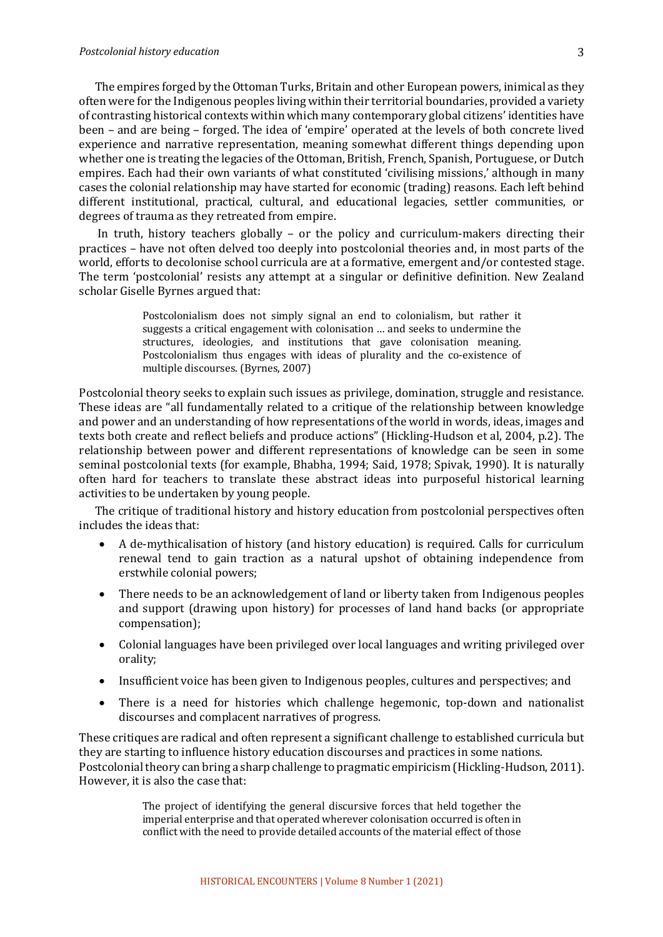#### *Postcolonial history education*

The empires forged by the Ottoman Turks, Britain and other European powers, inimical as they often were for the Indigenous peoples living within their territorial boundaries, provided a variety of contrasting historical contexts within which many contemporary global citizens' identities have been – and are being – forged. The idea of 'empire' operated at the levels of both concrete lived experience and narrative representation, meaning somewhat different things depending upon whether one is treating the legacies of the Ottoman, British, French, Spanish, Portuguese, or Dutch empires. Each had their own variants of what constituted 'civilising missions,' although in many cases the colonial relationship may have started for economic (trading) reasons. Each left behind different institutional, practical, cultural, and educational legacies, settler communities, or degrees of trauma as they retreated from empire.

In truth, history teachers globally  $-$  or the policy and curriculum-makers directing their practices – have not often delved too deeply into postcolonial theories and, in most parts of the world, efforts to decolonise school curricula are at a formative, emergent and/or contested stage. The term 'postcolonial' resists any attempt at a singular or definitive definition. New Zealand scholar Giselle Byrnes argued that:

> Postcolonialism does not simply signal an end to colonialism, but rather it suggests a critical engagement with colonisation ... and seeks to undermine the structures, ideologies, and institutions that gave colonisation meaning. Postcolonialism thus engages with ideas of plurality and the co-existence of multiple discourses. (Byrnes, 2007)

Postcolonial theory seeks to explain such issues as privilege, domination, struggle and resistance. These ideas are "all fundamentally related to a critique of the relationship between knowledge and power and an understanding of how representations of the world in words, ideas, images and texts both create and reflect beliefs and produce actions" (Hickling-Hudson et al, 2004, p.2). The relationship between power and different representations of knowledge can be seen in some seminal postcolonial texts (for example, Bhabha, 1994; Said, 1978; Spivak, 1990). It is naturally often hard for teachers to translate these abstract ideas into purposeful historical learning activities to be undertaken by young people.

The critique of traditional history and history education from postcolonial perspectives often includes the ideas that:

- A de-mythicalisation of history (and history education) is required. Calls for curriculum renewal tend to gain traction as a natural upshot of obtaining independence from erstwhile colonial powers;
- There needs to be an acknowledgement of land or liberty taken from Indigenous peoples and support (drawing upon history) for processes of land hand backs (or appropriate compensation);
- Colonial languages have been privileged over local languages and writing privileged over orality;
- Insufficient voice has been given to Indigenous peoples, cultures and perspectives; and
- There is a need for histories which challenge hegemonic, top-down and nationalist discourses and complacent narratives of progress.

These critiques are radical and often represent a significant challenge to established curricula but they are starting to influence history education discourses and practices in some nations. Postcolonial theory can bring a sharp challenge to pragmatic empiricism (Hickling-Hudson, 2011). However, it is also the case that:

> The project of identifying the general discursive forces that held together the imperial enterprise and that operated wherever colonisation occurred is often in conflict with the need to provide detailed accounts of the material effect of those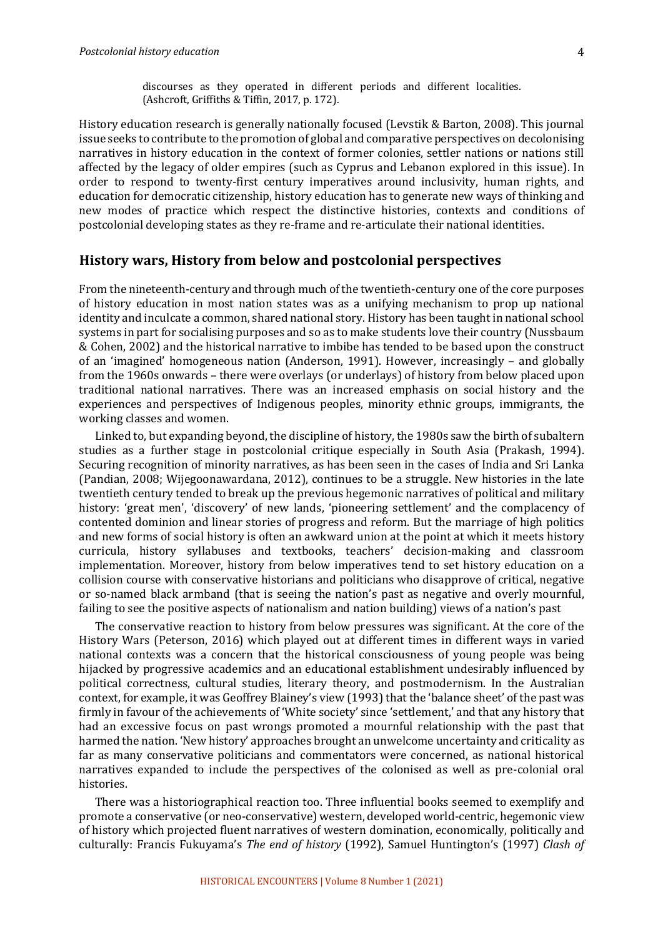discourses as they operated in different periods and different localities. (Ashcroft, Griffiths & Tiffin, 2017, p. 172).

History education research is generally nationally focused (Levstik & Barton, 2008). This journal issue seeks to contribute to the promotion of global and comparative perspectives on decolonising narratives in history education in the context of former colonies, settler nations or nations still affected by the legacy of older empires (such as Cyprus and Lebanon explored in this issue). In order to respond to twenty-first century imperatives around inclusivity, human rights, and education for democratic citizenship, history education has to generate new ways of thinking and new modes of practice which respect the distinctive histories, contexts and conditions of postcolonial developing states as they re-frame and re-articulate their national identities.

#### **History wars, History from below and postcolonial perspectives**

From the nineteenth-century and through much of the twentieth-century one of the core purposes of history education in most nation states was as a unifying mechanism to prop up national identity and inculcate a common, shared national story. History has been taught in national school systems in part for socialising purposes and so as to make students love their country (Nussbaum & Cohen, 2002) and the historical narrative to imbibe has tended to be based upon the construct of an 'imagined' homogeneous nation (Anderson, 1991). However, increasingly – and globally from the 1960s onwards – there were overlays (or underlays) of history from below placed upon traditional national narratives. There was an increased emphasis on social history and the experiences and perspectives of Indigenous peoples, minority ethnic groups, immigrants, the working classes and women.

Linked to, but expanding beyond, the discipline of history, the 1980s saw the birth of subaltern studies as a further stage in postcolonial critique especially in South Asia (Prakash, 1994). Securing recognition of minority narratives, as has been seen in the cases of India and Sri Lanka (Pandian, 2008; Wijegoonawardana, 2012), continues to be a struggle. New histories in the late twentieth century tended to break up the previous hegemonic narratives of political and military history: 'great men', 'discovery' of new lands, 'pioneering settlement' and the complacency of contented dominion and linear stories of progress and reform. But the marriage of high politics and new forms of social history is often an awkward union at the point at which it meets history curricula, history syllabuses and textbooks, teachers' decision-making and classroom implementation. Moreover, history from below imperatives tend to set history education on a collision course with conservative historians and politicians who disapprove of critical, negative or so-named black armband (that is seeing the nation's past as negative and overly mournful, failing to see the positive aspects of nationalism and nation building) views of a nation's past

The conservative reaction to history from below pressures was significant. At the core of the History Wars (Peterson, 2016) which played out at different times in different ways in varied national contexts was a concern that the historical consciousness of young people was being hijacked by progressive academics and an educational establishment undesirably influenced by political correctness, cultural studies, literary theory, and postmodernism. In the Australian context, for example, it was Geoffrey Blainey's view (1993) that the 'balance sheet' of the past was firmly in favour of the achievements of 'White society' since 'settlement,' and that any history that had an excessive focus on past wrongs promoted a mournful relationship with the past that harmed the nation. 'New history' approaches brought an unwelcome uncertainty and criticality as far as many conservative politicians and commentators were concerned, as national historical narratives expanded to include the perspectives of the colonised as well as pre-colonial oral histories. 

There was a historiographical reaction too. Three influential books seemed to exemplify and promote a conservative (or neo-conservative) western, developed world-centric, hegemonic view of history which projected fluent narratives of western domination, economically, politically and culturally: Francis Fukuyama's *The end of history* (1992), Samuel Huntington's (1997) *Clash of*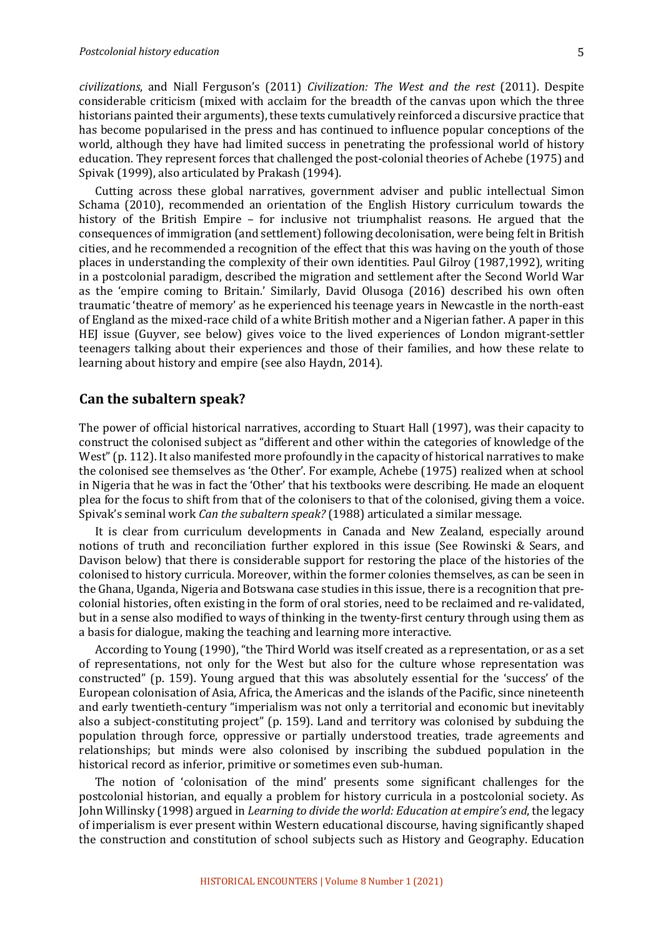*civilizations*, and Niall Ferguson's (2011) *Civilization: The West and the rest* (2011). Despite considerable criticism (mixed with acclaim for the breadth of the canvas upon which the three historians painted their arguments), these texts cumulatively reinforced a discursive practice that has become popularised in the press and has continued to influence popular conceptions of the world, although they have had limited success in penetrating the professional world of history education. They represent forces that challenged the post-colonial theories of Achebe (1975) and Spivak (1999), also articulated by Prakash (1994).

Cutting across these global narratives, government adviser and public intellectual Simon Schama (2010), recommended an orientation of the English History curriculum towards the history of the British Empire - for inclusive not triumphalist reasons. He argued that the consequences of immigration (and settlement) following decolonisation, were being felt in British cities, and he recommended a recognition of the effect that this was having on the youth of those places in understanding the complexity of their own identities. Paul Gilroy (1987,1992), writing in a postcolonial paradigm, described the migration and settlement after the Second World War as the 'empire coming to Britain.' Similarly, David Olusoga (2016) described his own often traumatic 'theatre of memory' as he experienced his teenage years in Newcastle in the north-east of England as the mixed-race child of a white British mother and a Nigerian father. A paper in this HEJ issue (Guyver, see below) gives voice to the lived experiences of London migrant-settler teenagers talking about their experiences and those of their families, and how these relate to learning about history and empire (see also Haydn, 2014).

#### **Can the subaltern speak?**

The power of official historical narratives, according to Stuart Hall (1997), was their capacity to construct the colonised subject as "different and other within the categories of knowledge of the West" (p. 112). It also manifested more profoundly in the capacity of historical narratives to make the colonised see themselves as 'the Other'. For example, Achebe (1975) realized when at school in Nigeria that he was in fact the 'Other' that his textbooks were describing. He made an eloquent plea for the focus to shift from that of the colonisers to that of the colonised, giving them a voice. Spivak's seminal work *Can the subaltern speak?* (1988) articulated a similar message.

It is clear from curriculum developments in Canada and New Zealand, especially around notions of truth and reconciliation further explored in this issue (See Rowinski & Sears, and Davison below) that there is considerable support for restoring the place of the histories of the colonised to history curricula. Moreover, within the former colonies themselves, as can be seen in the Ghana, Uganda, Nigeria and Botswana case studies in this issue, there is a recognition that precolonial histories, often existing in the form of oral stories, need to be reclaimed and re-validated, but in a sense also modified to ways of thinking in the twenty-first century through using them as a basis for dialogue, making the teaching and learning more interactive.

According to Young (1990), "the Third World was itself created as a representation, or as a set of representations, not only for the West but also for the culture whose representation was constructed" (p. 159). Young argued that this was absolutely essential for the 'success' of the European colonisation of Asia, Africa, the Americas and the islands of the Pacific, since nineteenth and early twentieth-century "imperialism was not only a territorial and economic but inevitably also a subject-constituting project" (p. 159). Land and territory was colonised by subduing the population through force, oppressive or partially understood treaties, trade agreements and relationships; but minds were also colonised by inscribing the subdued population in the historical record as inferior, primitive or sometimes even sub-human.

The notion of 'colonisation of the mind' presents some significant challenges for the postcolonial historian, and equally a problem for history curricula in a postcolonial society. As John Willinsky (1998) argued in *Learning to divide the world: Education at empire's end*, the legacy of imperialism is ever present within Western educational discourse, having significantly shaped the construction and constitution of school subjects such as History and Geography. Education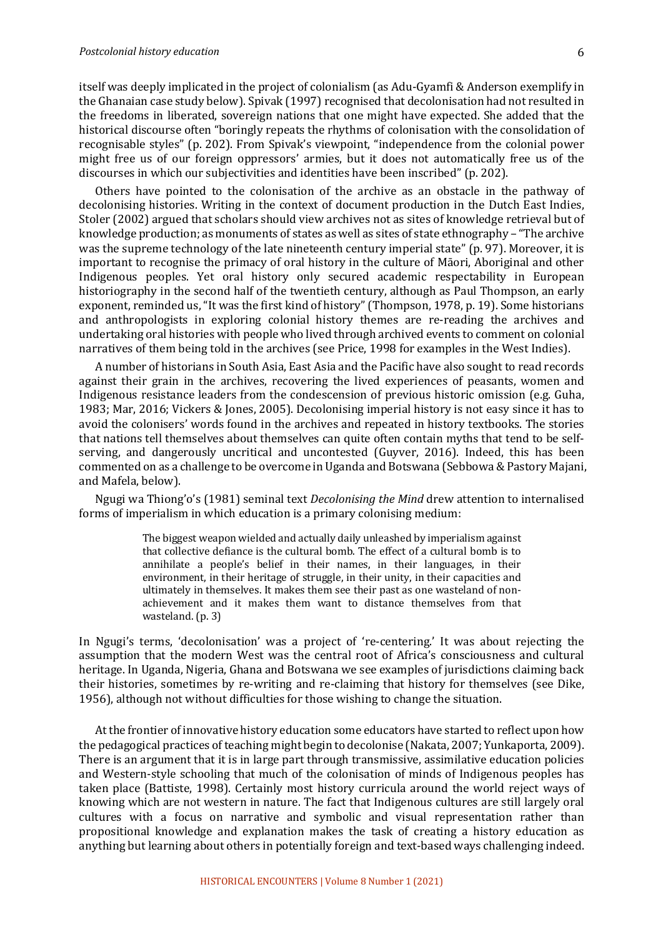itself was deeply implicated in the project of colonialism (as Adu-Gyamfi & Anderson exemplify in the Ghanaian case study below). Spivak (1997) recognised that decolonisation had not resulted in the freedoms in liberated, sovereign nations that one might have expected. She added that the historical discourse often "boringly repeats the rhythms of colonisation with the consolidation of recognisable styles" (p. 202). From Spivak's viewpoint, "independence from the colonial power might free us of our foreign oppressors' armies, but it does not automatically free us of the discourses in which our subjectivities and identities have been inscribed" (p. 202).

Others have pointed to the colonisation of the archive as an obstacle in the pathway of decolonising histories. Writing in the context of document production in the Dutch East Indies, Stoler (2002) argued that scholars should view archives not as sites of knowledge retrieval but of knowledge production; as monuments of states as well as sites of state ethnography – "The archive" was the supreme technology of the late nineteenth century imperial state"  $(p. 97)$ . Moreover, it is important to recognise the primacy of oral history in the culture of Māori, Aboriginal and other Indigenous peoples. Yet oral history only secured academic respectability in European historiography in the second half of the twentieth century, although as Paul Thompson, an early exponent, reminded us, "It was the first kind of history" (Thompson, 1978, p. 19). Some historians and anthropologists in exploring colonial history themes are re-reading the archives and undertaking oral histories with people who lived through archived events to comment on colonial narratives of them being told in the archives (see Price, 1998 for examples in the West Indies).

A number of historians in South Asia, East Asia and the Pacific have also sought to read records against their grain in the archives, recovering the lived experiences of peasants, women and Indigenous resistance leaders from the condescension of previous historic omission (e.g. Guha, 1983; Mar, 2016; Vickers & Jones, 2005). Decolonising imperial history is not easy since it has to avoid the colonisers' words found in the archives and repeated in history textbooks. The stories that nations tell themselves about themselves can quite often contain myths that tend to be selfserving, and dangerously uncritical and uncontested (Guyver, 2016). Indeed, this has been commented on as a challenge to be overcome in Uganda and Botswana (Sebbowa & Pastory Majani, and Mafela, below).

Ngugi wa Thiong'o's (1981) seminal text *Decolonising the Mind* drew attention to internalised forms of imperialism in which education is a primary colonising medium:

> The biggest weapon wielded and actually daily unleashed by imperialism against that collective defiance is the cultural bomb. The effect of a cultural bomb is to annihilate a people's belief in their names, in their languages, in their environment, in their heritage of struggle, in their unity, in their capacities and ultimately in themselves. It makes them see their past as one wasteland of nonachievement and it makes them want to distance themselves from that wasteland.  $(p. 3)$

In Ngugi's terms, 'decolonisation' was a project of 're-centering.' It was about rejecting the assumption that the modern West was the central root of Africa's consciousness and cultural heritage. In Uganda, Nigeria, Ghana and Botswana we see examples of jurisdictions claiming back their histories, sometimes by re-writing and re-claiming that history for themselves (see Dike, 1956), although not without difficulties for those wishing to change the situation.

At the frontier of innovative history education some educators have started to reflect upon how the pedagogical practices of teaching might begin to decolonise (Nakata, 2007; Yunkaporta, 2009). There is an argument that it is in large part through transmissive, assimilative education policies and Western-style schooling that much of the colonisation of minds of Indigenous peoples has taken place (Battiste, 1998). Certainly most history curricula around the world reject ways of knowing which are not western in nature. The fact that Indigenous cultures are still largely oral cultures with a focus on narrative and symbolic and visual representation rather than propositional knowledge and explanation makes the task of creating a history education as anything but learning about others in potentially foreign and text-based ways challenging indeed.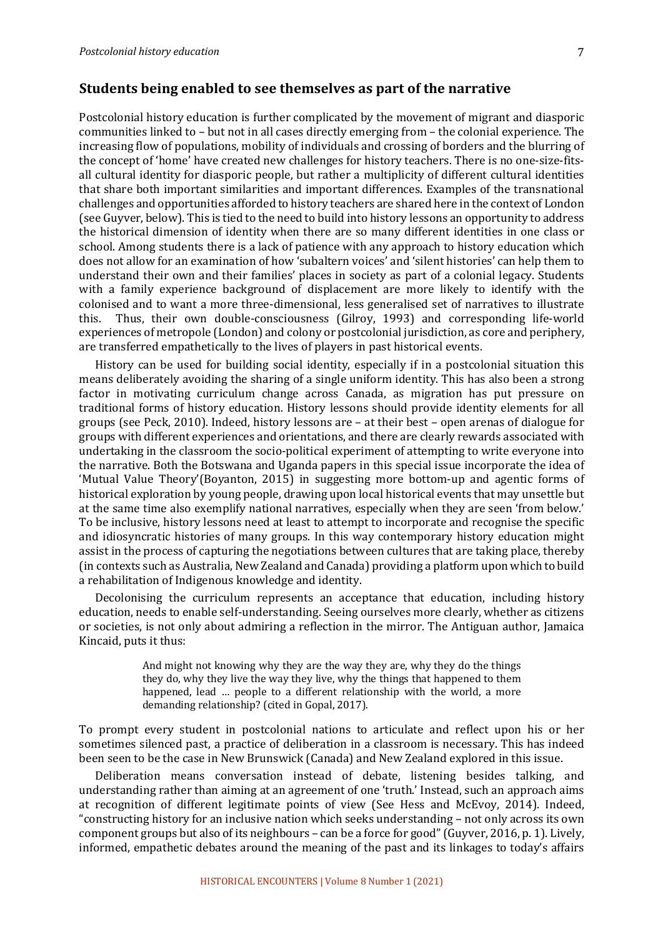#### **Students being enabled to see themselves as part of the narrative**

Postcolonial history education is further complicated by the movement of migrant and diasporic communities linked to – but not in all cases directly emerging from – the colonial experience. The increasing flow of populations, mobility of individuals and crossing of borders and the blurring of the concept of 'home' have created new challenges for history teachers. There is no one-size-fitsall cultural identity for diasporic people, but rather a multiplicity of different cultural identities that share both important similarities and important differences. Examples of the transnational challenges and opportunities afforded to history teachers are shared here in the context of London (see Guyver, below). This is tied to the need to build into history lessons an opportunity to address the historical dimension of identity when there are so many different identities in one class or school. Among students there is a lack of patience with any approach to history education which does not allow for an examination of how 'subaltern voices' and 'silent histories' can help them to understand their own and their families' places in society as part of a colonial legacy. Students with a family experience background of displacement are more likely to identify with the colonised and to want a more three-dimensional, less generalised set of narratives to illustrate this. Thus, their own double-consciousness (Gilroy, 1993) and corresponding life-world experiences of metropole (London) and colony or postcolonial jurisdiction, as core and periphery, are transferred empathetically to the lives of players in past historical events.

History can be used for building social identity, especially if in a postcolonial situation this means deliberately avoiding the sharing of a single uniform identity. This has also been a strong factor in motivating curriculum change across Canada, as migration has put pressure on traditional forms of history education. History lessons should provide identity elements for all groups (see Peck, 2010). Indeed, history lessons are  $-$  at their best  $-$  open arenas of dialogue for groups with different experiences and orientations, and there are clearly rewards associated with undertaking in the classroom the socio-political experiment of attempting to write everyone into the narrative. Both the Botswana and Uganda papers in this special issue incorporate the idea of 'Mutual Value Theory'(Boyanton, 2015) in suggesting more bottom-up and agentic forms of historical exploration by young people, drawing upon local historical events that may unsettle but at the same time also exemplify national narratives, especially when they are seen 'from below.' To be inclusive, history lessons need at least to attempt to incorporate and recognise the specific and idiosyncratic histories of many groups. In this way contemporary history education might assist in the process of capturing the negotiations between cultures that are taking place, thereby (in contexts such as Australia, New Zealand and Canada) providing a platform upon which to build a rehabilitation of Indigenous knowledge and identity.

Decolonising the curriculum represents an acceptance that education, including history education, needs to enable self-understanding. Seeing ourselves more clearly, whether as citizens or societies, is not only about admiring a reflection in the mirror. The Antiguan author, Jamaica Kincaid, puts it thus:

> And might not knowing why they are the way they are, why they do the things they do, why they live the way they live, why the things that happened to them happened, lead ... people to a different relationship with the world, a more demanding relationship? (cited in Gopal, 2017).

To prompt every student in postcolonial nations to articulate and reflect upon his or her sometimes silenced past, a practice of deliberation in a classroom is necessary. This has indeed been seen to be the case in New Brunswick (Canada) and New Zealand explored in this issue.

Deliberation means conversation instead of debate, listening besides talking, and understanding rather than aiming at an agreement of one 'truth.' Instead, such an approach aims at recognition of different legitimate points of view (See Hess and McEvoy, 2014). Indeed, "constructing history for an inclusive nation which seeks understanding – not only across its own component groups but also of its neighbours – can be a force for good" (Guyver, 2016, p. 1). Lively, informed, empathetic debates around the meaning of the past and its linkages to today's affairs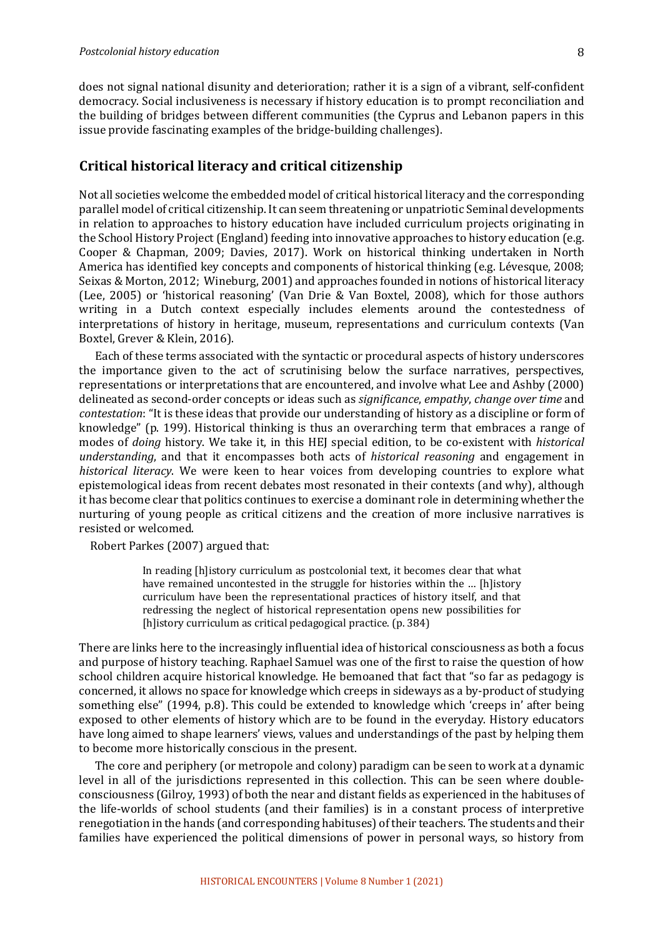does not signal national disunity and deterioration; rather it is a sign of a vibrant, self-confident democracy. Social inclusiveness is necessary if history education is to prompt reconciliation and the building of bridges between different communities (the Cyprus and Lebanon papers in this issue provide fascinating examples of the bridge-building challenges).

### **Critical historical literacy and critical citizenship**

Not all societies welcome the embedded model of critical historical literacy and the corresponding parallel model of critical citizenship. It can seem threatening or unpatriotic Seminal developments in relation to approaches to history education have included curriculum projects originating in the School History Project (England) feeding into innovative approaches to history education (e.g. Cooper & Chapman, 2009; Davies, 2017). Work on historical thinking undertaken in North America has identified key concepts and components of historical thinking (e.g. Lévesque, 2008; Seixas & Morton, 2012; Wineburg, 2001) and approaches founded in notions of historical literacy (Lee, 2005) or 'historical reasoning' (Van Drie & Van Boxtel, 2008), which for those authors writing in a Dutch context especially includes elements around the contestedness of interpretations of history in heritage, museum, representations and curriculum contexts (Van Boxtel, Grever & Klein, 2016).

Each of these terms associated with the syntactic or procedural aspects of history underscores the importance given to the act of scrutinising below the surface narratives, perspectives, representations or interpretations that are encountered, and involve what Lee and Ashby (2000) delineated as second-order concepts or ideas such as *significance*, *empathy*, *change over time* and *contestation*: "It is these ideas that provide our understanding of history as a discipline or form of knowledge" (p. 199). Historical thinking is thus an overarching term that embraces a range of modes of *doing* history. We take it, in this HEJ special edition, to be co-existent with *historical understanding*, and that it encompasses both acts of *historical reasoning* and engagement in *historical literacy*. We were keen to hear voices from developing countries to explore what epistemological ideas from recent debates most resonated in their contexts (and why), although it has become clear that politics continues to exercise a dominant role in determining whether the nurturing of young people as critical citizens and the creation of more inclusive narratives is resisted or welcomed.

Robert Parkes (2007) argued that:

In reading Ihlistory curriculum as postcolonial text, it becomes clear that what have remained uncontested in the struggle for histories within the ... [h]istory curriculum have been the representational practices of history itself, and that redressing the neglect of historical representation opens new possibilities for [h]istory curriculum as critical pedagogical practice. (p. 384)]

There are links here to the increasingly influential idea of historical consciousness as both a focus and purpose of history teaching. Raphael Samuel was one of the first to raise the question of how school children acquire historical knowledge. He bemoaned that fact that "so far as pedagogy is concerned, it allows no space for knowledge which creeps in sideways as a by-product of studying something else" (1994, p.8). This could be extended to knowledge which 'creeps in' after being exposed to other elements of history which are to be found in the everyday. History educators have long aimed to shape learners' views, values and understandings of the past by helping them to become more historically conscious in the present.

The core and periphery (or metropole and colony) paradigm can be seen to work at a dynamic level in all of the jurisdictions represented in this collection. This can be seen where doubleconsciousness (Gilroy, 1993) of both the near and distant fields as experienced in the habituses of the life-worlds of school students (and their families) is in a constant process of interpretive renegotiation in the hands (and corresponding habituses) of their teachers. The students and their families have experienced the political dimensions of power in personal ways, so history from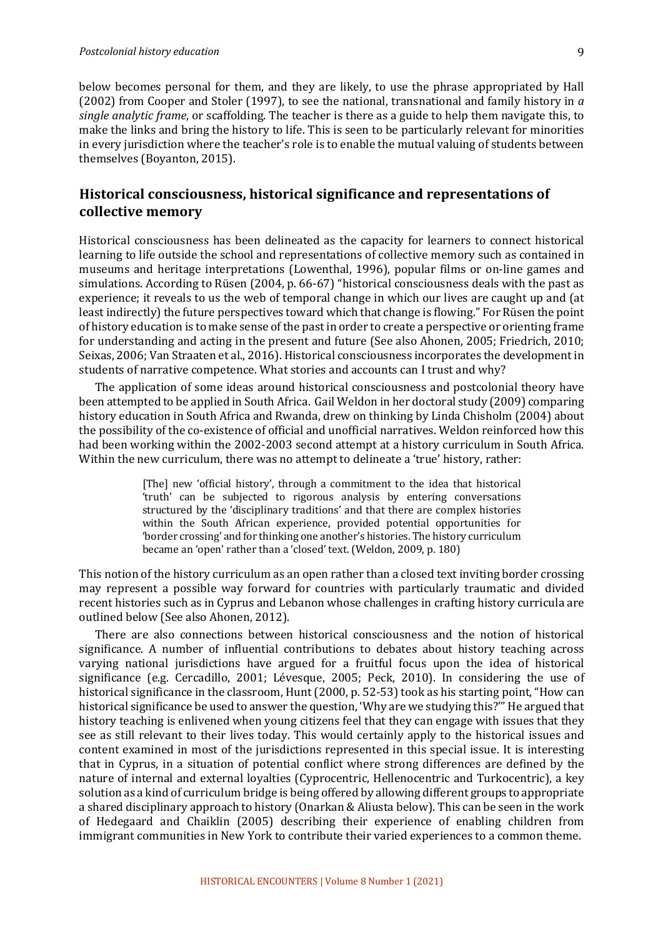below becomes personal for them, and they are likely, to use the phrase appropriated by Hall (2002) from Cooper and Stoler (1997), to see the national, transnational and family history in  $a$ *single analytic frame*, or scaffolding. The teacher is there as a guide to help them navigate this, to make the links and bring the history to life. This is seen to be particularly relevant for minorities in every jurisdiction where the teacher's role is to enable the mutual valuing of students between themselves (Boyanton, 2015).

## Historical consciousness, historical significance and representations of **collective memory**

Historical consciousness has been delineated as the capacity for learners to connect historical learning to life outside the school and representations of collective memory such as contained in museums and heritage interpretations (Lowenthal, 1996), popular films or on-line games and simulations. According to Rüsen (2004, p. 66-67) "historical consciousness deals with the past as experience; it reveals to us the web of temporal change in which our lives are caught up and (at least indirectly) the future perspectives toward which that change is flowing." For Rüsen the point of history education is to make sense of the past in order to create a perspective or orienting frame for understanding and acting in the present and future (See also Ahonen, 2005; Friedrich, 2010; Seixas, 2006; Van Straaten et al., 2016). Historical consciousness incorporates the development in students of narrative competence. What stories and accounts can I trust and why?

The application of some ideas around historical consciousness and postcolonial theory have been attempted to be applied in South Africa. Gail Weldon in her doctoral study (2009) comparing history education in South Africa and Rwanda, drew on thinking by Linda Chisholm (2004) about the possibility of the co-existence of official and unofficial narratives. Weldon reinforced how this had been working within the 2002-2003 second attempt at a history curriculum in South Africa. Within the new curriculum, there was no attempt to delineate a 'true' history, rather:

> [The] new 'official history', through a commitment to the idea that historical 'truth' can be subjected to rigorous analysis by entering conversations structured by the 'disciplinary traditions' and that there are complex histories within the South African experience, provided potential opportunities for 'border crossing' and for thinking one another's histories. The history curriculum became an 'open' rather than a 'closed' text. (Weldon, 2009, p. 180)

This notion of the history curriculum as an open rather than a closed text inviting border crossing may represent a possible way forward for countries with particularly traumatic and divided recent histories such as in Cyprus and Lebanon whose challenges in crafting history curricula are outlined below (See also Ahonen, 2012).

There are also connections between historical consciousness and the notion of historical significance. A number of influential contributions to debates about history teaching across varying national jurisdictions have argued for a fruitful focus upon the idea of historical significance (e.g. Cercadillo,  $2001$ ; Lévesque,  $2005$ ; Peck,  $2010$ ). In considering the use of historical significance in the classroom, Hunt (2000, p. 52-53) took as his starting point, "How can historical significance be used to answer the question, 'Why are we studying this?'" He argued that history teaching is enlivened when young citizens feel that they can engage with issues that they see as still relevant to their lives today. This would certainly apply to the historical issues and content examined in most of the jurisdictions represented in this special issue. It is interesting that in Cyprus, in a situation of potential conflict where strong differences are defined by the nature of internal and external loyalties (Cyprocentric, Hellenocentric and Turkocentric), a key solution as a kind of curriculum bridge is being offered by allowing different groups to appropriate a shared disciplinary approach to history (Onarkan & Aliusta below). This can be seen in the work of Hedegaard and Chaiklin (2005) describing their experience of enabling children from immigrant communities in New York to contribute their varied experiences to a common theme.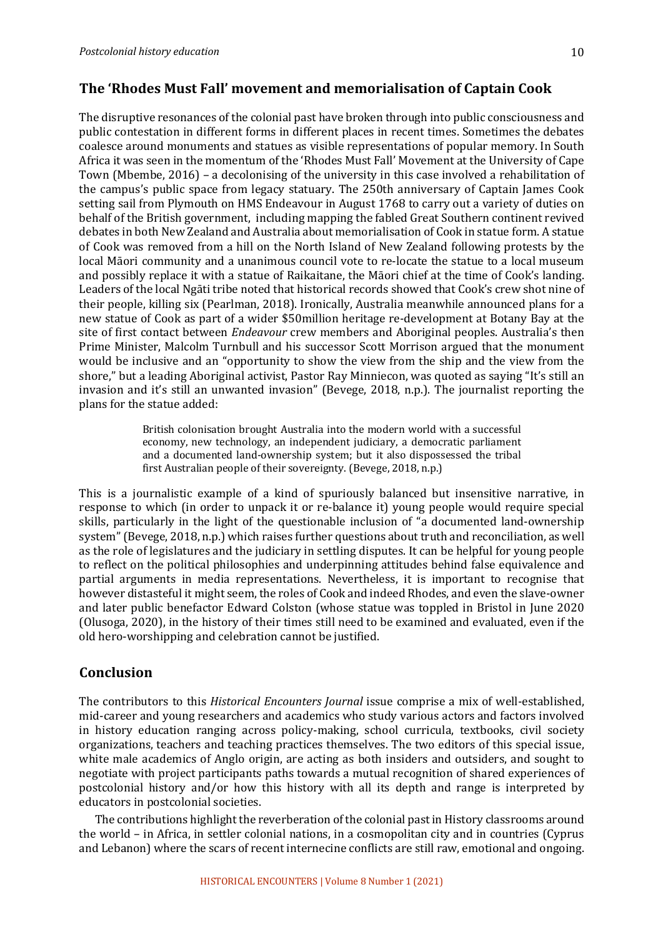## **The 'Rhodes Must Fall' movement and memorialisation of Captain Cook**

The disruptive resonances of the colonial past have broken through into public consciousness and public contestation in different forms in different places in recent times. Sometimes the debates coalesce around monuments and statues as visible representations of popular memory. In South Africa it was seen in the momentum of the 'Rhodes Must Fall' Movement at the University of Cape Town (Mbembe, 2016) – a decolonising of the university in this case involved a rehabilitation of the campus's public space from legacy statuary. The 250th anniversary of Captain James Cook setting sail from Plymouth on HMS Endeavour in August 1768 to carry out a variety of duties on behalf of the British government, including mapping the fabled Great Southern continent revived debates in both New Zealand and Australia about memorialisation of Cook in statue form. A statue of Cook was removed from a hill on the North Island of New Zealand following protests by the local Māori community and a unanimous council vote to re-locate the statue to a local museum and possibly replace it with a statue of Raikaitane, the Māori chief at the time of Cook's landing. Leaders of the local Ngāti tribe noted that historical records showed that Cook's crew shot nine of their people, killing six (Pearlman, 2018). Ironically, Australia meanwhile announced plans for a new statue of Cook as part of a wider \$50million heritage re-development at Botany Bay at the site of first contact between *Endeavour* crew members and Aboriginal peoples. Australia's then Prime Minister, Malcolm Turnbull and his successor Scott Morrison argued that the monument would be inclusive and an "opportunity to show the view from the ship and the view from the shore," but a leading Aboriginal activist, Pastor Ray Minniecon, was quoted as saying "It's still an invasion and it's still an unwanted invasion" (Bevege, 2018, n.p.). The journalist reporting the plans for the statue added:

> British colonisation brought Australia into the modern world with a successful economy, new technology, an independent judiciary, a democratic parliament and a documented land-ownership system; but it also dispossessed the tribal first Australian people of their sovereignty. (Bevege, 2018, n.p.)

This is a journalistic example of a kind of spuriously balanced but insensitive narrative, in response to which (in order to unpack it or re-balance it) young people would require special skills, particularly in the light of the questionable inclusion of "a documented land-ownership system" (Bevege, 2018, n.p.) which raises further questions about truth and reconciliation, as well as the role of legislatures and the judiciary in settling disputes. It can be helpful for young people to reflect on the political philosophies and underpinning attitudes behind false equivalence and partial arguments in media representations. Nevertheless, it is important to recognise that however distasteful it might seem, the roles of Cook and indeed Rhodes, and even the slave-owner and later public benefactor Edward Colston (whose statue was toppled in Bristol in June 2020 (Olusoga, 2020), in the history of their times still need to be examined and evaluated, even if the old hero-worshipping and celebration cannot be justified.

## **Conclusion**

The contributors to this *Historical Encounters Journal* issue comprise a mix of well-established, mid-career and young researchers and academics who study various actors and factors involved in history education ranging across policy-making, school curricula, textbooks, civil society organizations, teachers and teaching practices themselves. The two editors of this special issue, white male academics of Anglo origin, are acting as both insiders and outsiders, and sought to negotiate with project participants paths towards a mutual recognition of shared experiences of postcolonial history and/or how this history with all its depth and range is interpreted by educators in postcolonial societies.

The contributions highlight the reverberation of the colonial past in History classrooms around the world  $-$  in Africa, in settler colonial nations, in a cosmopolitan city and in countries (Cyprus and Lebanon) where the scars of recent internecine conflicts are still raw, emotional and ongoing.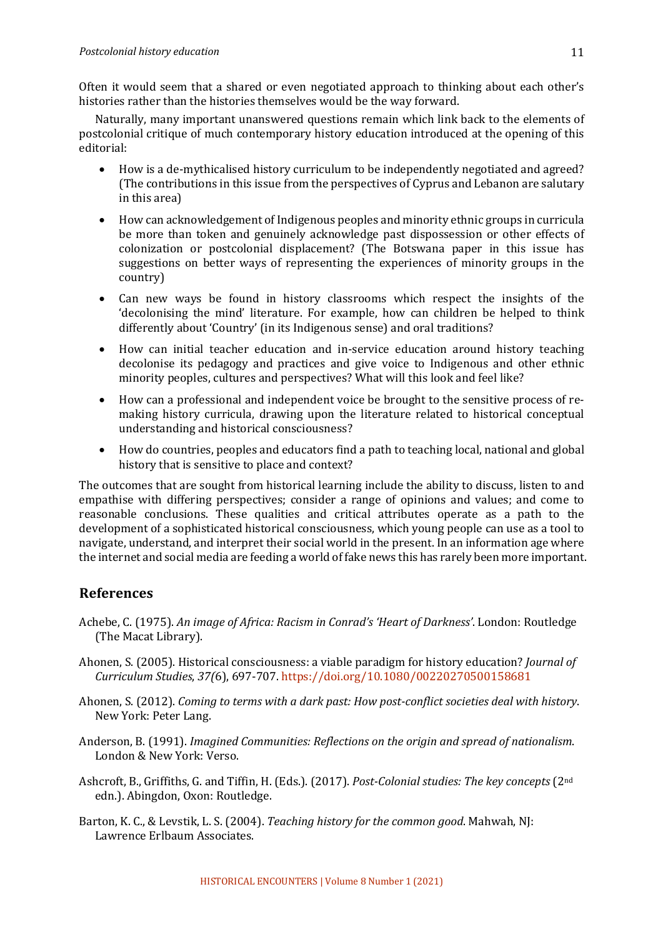Often it would seem that a shared or even negotiated approach to thinking about each other's histories rather than the histories themselves would be the way forward.

Naturally, many important unanswered questions remain which link back to the elements of postcolonial critique of much contemporary history education introduced at the opening of this editorial:

- How is a de-mythicalised history curriculum to be independently negotiated and agreed? (The contributions in this issue from the perspectives of Cyprus and Lebanon are salutary in this area)
- How can acknowledgement of Indigenous peoples and minority ethnic groups in curricula be more than token and genuinely acknowledge past dispossession or other effects of colonization or postcolonial displacement? (The Botswana paper in this issue has suggestions on better ways of representing the experiences of minority groups in the country)
- Can new ways be found in history classrooms which respect the insights of the 'decolonising the mind' literature. For example, how can children be helped to think differently about 'Country' (in its Indigenous sense) and oral traditions?
- How can initial teacher education and in-service education around history teaching decolonise its pedagogy and practices and give voice to Indigenous and other ethnic minority peoples, cultures and perspectives? What will this look and feel like?
- How can a professional and independent voice be brought to the sensitive process of remaking history curricula, drawing upon the literature related to historical conceptual understanding and historical consciousness?
- How do countries, peoples and educators find a path to teaching local, national and global history that is sensitive to place and context?

The outcomes that are sought from historical learning include the ability to discuss, listen to and empathise with differing perspectives; consider a range of opinions and values; and come to reasonable conclusions. These qualities and critical attributes operate as a path to the development of a sophisticated historical consciousness, which young people can use as a tool to navigate, understand, and interpret their social world in the present. In an information age where the internet and social media are feeding a world of fake news this has rarely been more important.

## **References**

- Achebe, C. (1975). An image of Africa: Racism in Conrad's 'Heart of Darkness'. London: Routledge (The Macat Library).
- Ahonen, S. (2005). Historical consciousness: a viable paradigm for history education? *Journal of Curriculum Studies*, *37(*6), 697-707. https://doi.org/10.1080/00220270500158681
- Ahonen, S. (2012). *Coming to terms with a dark past: How post-conflict societies deal with history.* New York: Peter Lang.
- Anderson, B. (1991). *Imagined Communities: Reflections on the origin and spread of nationalism.* London & New York: Verso.
- Ashcroft, B., Griffiths, G. and Tiffin, H. (Eds.). (2017). *Post-Colonial studies: The key concepts* (2<sup>nd</sup>) edn.). Abingdon, Oxon: Routledge.
- Barton, K. C., & Levstik, L. S. (2004). *Teaching history for the common good*. Mahwah, NJ: Lawrence Erlbaum Associates.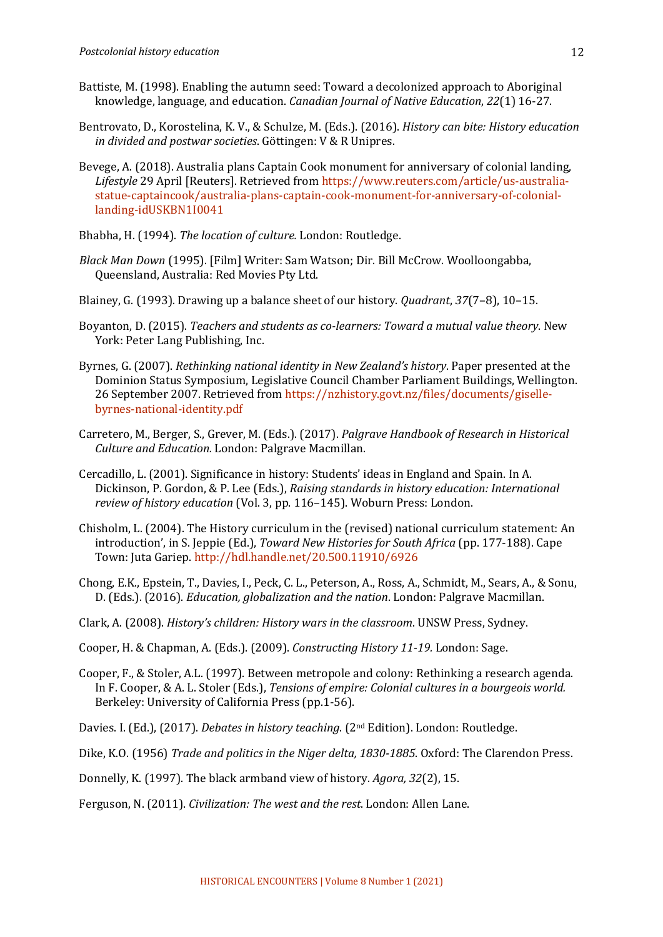- Battiste, M. (1998). Enabling the autumn seed: Toward a decolonized approach to Aboriginal knowledge, language, and education. *Canadian Journal of Native Education*, 22(1) 16-27.
- Bentrovato, D., Korostelina, K. V., & Schulze, M. (Eds.). (2016). *History can bite: History education in divided and postwar societies.* Göttingen: V & R Unipres.
- Bevege, A. (2018). Australia plans Captain Cook monument for anniversary of colonial landing, Lifestyle 29 April [Reuters]. Retrieved from https://www.reuters.com/article/us-australiastatue-captaincook/australia-plans-captain-cook-monument-for-anniversary-of-coloniallanding-idUSKBN1I0041
- Bhabha, H. (1994). The location of culture. London: Routledge.
- *Black Man Down* (1995). [Film] Writer: Sam Watson; Dir. Bill McCrow. Woolloongabba, Queensland, Australia: Red Movies Pty Ltd.
- Blainey, G. (1993). Drawing up a balance sheet of our history. *Quadrant*, 37(7–8), 10–15.
- Boyanton, D. (2015). *Teachers and students as co-learners: Toward a mutual value theory*. New York: Peter Lang Publishing, Inc.
- Byrnes, G. (2007). *Rethinking national identity in New Zealand's history*. Paper presented at the Dominion Status Symposium, Legislative Council Chamber Parliament Buildings, Wellington. 26 September 2007. Retrieved from https://nzhistory.govt.nz/files/documents/gisellebyrnes-national-identity.pdf
- Carretero, M., Berger, S., Grever, M. (Eds.). (2017). *Palgrave Handbook of Research in Historical Culture and Education.* London: Palgrave Macmillan.
- Cercadillo, L. (2001). Significance in history: Students' ideas in England and Spain. In A. Dickinson, P. Gordon, & P. Lee (Eds.), *Raising standards in history education: International review of history education* (Vol. 3, pp. 116–145). Woburn Press: London.
- Chisholm, L. (2004). The History curriculum in the (revised) national curriculum statement: An introduction', in S. Jeppie (Ed.), *Toward New Histories for South Africa* (pp. 177-188). Cape Town: Juta Gariep. http://hdl.handle.net/20.500.11910/6926
- Chong, E.K., Epstein, T., Davies, I., Peck, C. L., Peterson, A., Ross, A., Schmidt, M., Sears, A., & Sonu, D. (Eds.). (2016). *Education, globalization and the nation*. London: Palgrave Macmillan.
- Clark, A. (2008). *History's children: History wars in the classroom*. UNSW Press, Sydney.
- Cooper, H. & Chapman, A. (Eds.). (2009). *Constructing History 11-19.* London: Sage.
- Cooper, F., & Stoler, A.L. (1997). Between metropole and colony: Rethinking a research agenda. In F. Cooper, & A. L. Stoler (Eds.), *Tensions of empire: Colonial cultures in a bourgeois world.* Berkeley: University of California Press (pp.1-56).
- Davies. I. (Ed.), (2017). *Debates in history teaching*. (2<sup>nd</sup> Edition). London: Routledge.
- Dike, K.O. (1956) *Trade and politics in the Niger delta, 1830-1885*. Oxford: The Clarendon Press.
- Donnelly, K. (1997). The black armband view of history. *Agora*, 32(2), 15.
- Ferguson, N. (2011). *Civilization: The west and the rest*. London: Allen Lane.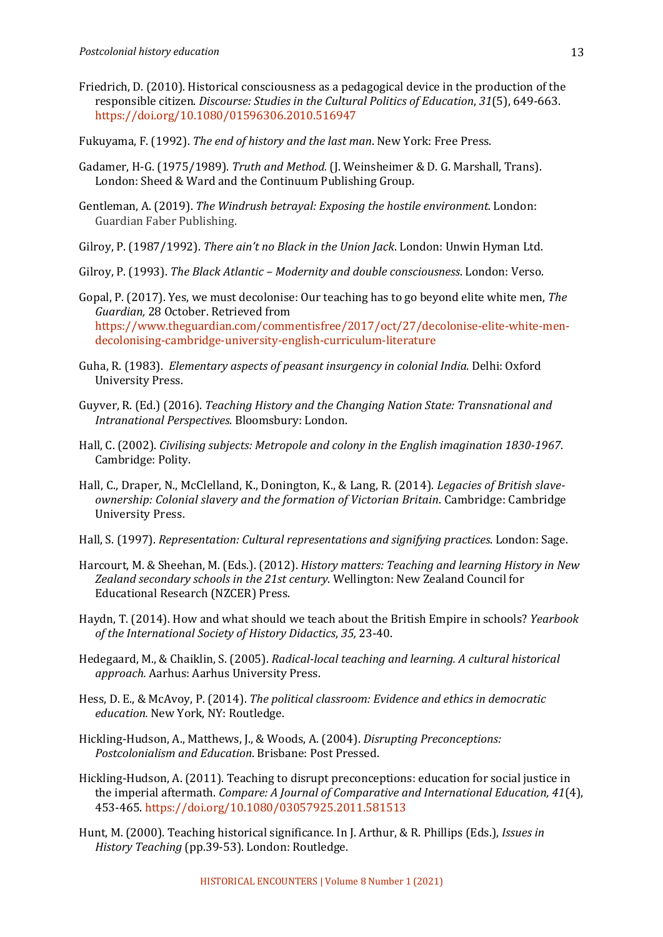- Friedrich, D. (2010). Historical consciousness as a pedagogical device in the production of the responsible citizen. *Discourse: Studies in the Cultural Politics of Education*, 31(5), 649-663. https://doi.org/10.1080/01596306.2010.516947
- Fukuyama, F. (1992). *The end of history and the last man*. New York: Free Press.
- Gadamer, H-G. (1975/1989). *Truth and Method.* (J. Weinsheimer & D. G. Marshall, Trans). London: Sheed & Ward and the Continuum Publishing Group.
- Gentleman, A. (2019). *The Windrush betraval: Exposing the hostile environment*. London: Guardian Faber Publishing.
- Gilroy, P. (1987/1992). *There ain't no Black in the Union Jack*. London: Unwin Hyman Ltd.
- Gilroy, P. (1993). *The Black Atlantic Modernity and double consciousness*. London: Verso.
- Gopal, P. (2017). Yes, we must decolonise: Our teaching has to go beyond elite white men, *The Guardian,* 28 October. Retrieved from https://www.theguardian.com/commentisfree/2017/oct/27/decolonise-elite-white-mendecolonising-cambridge-university-english-curriculum-literature
- Guha, R. (1983). *Elementary aspects of peasant insurgency in colonial India.* Delhi: Oxford University Press.
- Guyver, R. (Ed.) (2016). *Teaching History and the Changing Nation State: Transnational and Intranational Perspectives. Bloomsbury: London.*
- Hall, C. (2002). *Civilising subjects: Metropole and colony in the English imagination 1830-1967*. Cambridge: Polity.
- Hall, C., Draper, N., McClelland, K., Donington, K., & Lang, R. (2014). *Legacies of British slaveownership: Colonial slavery and the formation of Victorian Britain.* Cambridge: Cambridge University Press.
- Hall, S. (1997). *Representation: Cultural representations and signifying practices*. London: Sage.
- Harcourt, M. & Sheehan, M. (Eds.). (2012). *History matters: Teaching and learning History in New* Zealand secondary schools in the 21st century. Wellington: New Zealand Council for Educational Research (NZCER) Press.
- Haydn, T. (2014). How and what should we teach about the British Empire in schools? *Yearbook of the International Society of History Didactics, 35, 23-40.*
- Hedegaard, M., & Chaiklin, S. (2005). *Radical-local teaching and learning. A cultural historical* approach. Aarhus: Aarhus University Press.
- Hess, D. E., & McAvoy, P. (2014). *The political classroom: Evidence and ethics in democratic education.* New York, NY: Routledge.
- Hickling-Hudson, A., Matthews, J., & Woods, A. (2004). *Disrupting Preconceptions: Postcolonialism and Education*. Brisbane: Post Pressed.
- Hickling-Hudson, A. (2011). Teaching to disrupt preconceptions: education for social justice in the imperial aftermath. *Compare: A Journal of Comparative and International Education, 41*(4), 453-465. https://doi.org/10.1080/03057925.2011.581513
- Hunt, M. (2000). Teaching historical significance. In J. Arthur, & R. Phillips (Eds.), *Issues in History Teaching* (pp.39-53). London: Routledge.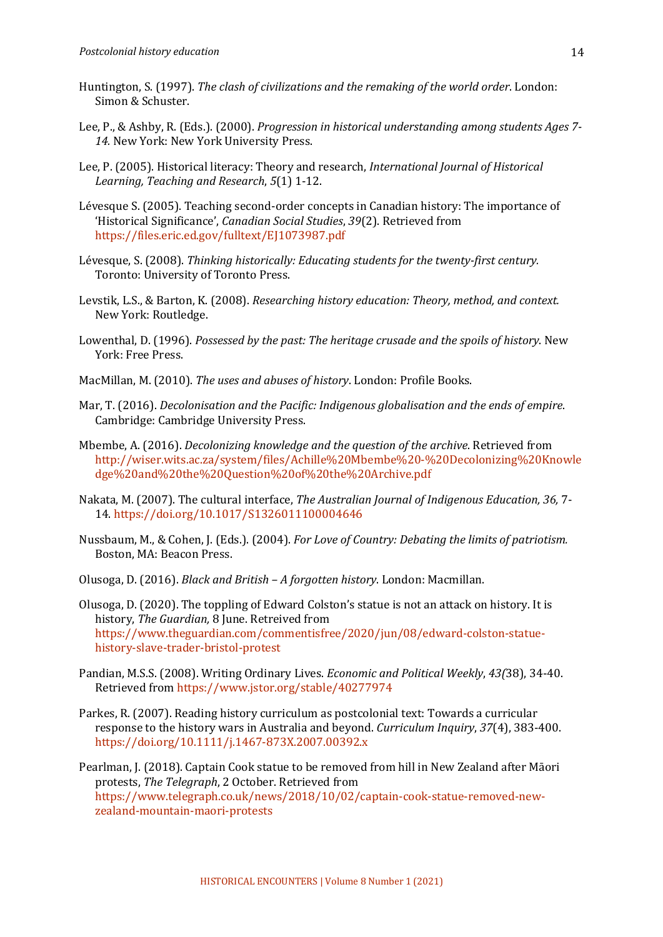- Huntington, S. (1997). *The clash of civilizations and the remaking of the world order*. London: Simon & Schuster.
- Lee, P., & Ashby, R. (Eds.). (2000). *Progression in historical understanding among students Ages* 7-14. New York: New York University Press.
- Lee, P. (2005). Historical literacy: Theory and research, *International Journal of Historical Learning, Teaching and Research*, *5*(1) 1-12.
- Lévesque S. (2005). Teaching second-order concepts in Canadian history: The importance of 'Historical Significance', *Canadian Social Studies*, *39*(2). Retrieved from https://files.eric.ed.gov/fulltext/EJ1073987.pdf
- Lévesque, S. (2008). *Thinking historically: Educating students for the twenty-first century.* Toronto: University of Toronto Press.
- Levstik, L.S., & Barton, K. (2008). *Researching history education: Theory, method, and context.* New York: Routledge.
- Lowenthal, D. (1996). *Possessed by the past: The heritage crusade and the spoils of history*. New York: Free Press.
- MacMillan, M. (2010). The uses and abuses of history. London: Profile Books.
- Mar, T. (2016). *Decolonisation and the Pacific: Indigenous globalisation and the ends of empire.* Cambridge: Cambridge University Press.
- Mbembe, A. (2016). *Decolonizing knowledge and the question of the archive*. Retrieved from http://wiser.wits.ac.za/system/files/Achille%20Mbembe%20-%20Decolonizing%20Knowle dge%20and%20the%20Question%20of%20the%20Archive.pdf
- Nakata, M. (2007). The cultural interface, *The Australian Journal of Indigenous Education*, 36, 7-14. https://doi.org/10.1017/S1326011100004646
- Nussbaum, M., & Cohen, J. (Eds.). (2004). *For Love of Country: Debating the limits of patriotism.* Boston, MA: Beacon Press.
- Olusoga, D. (2016). *Black and British – A forgotten history*. London: Macmillan.
- Olusoga, D. (2020). The toppling of Edward Colston's statue is not an attack on history. It is history, *The Guardian*, 8 June. Retreived from https://www.theguardian.com/commentisfree/2020/jun/08/edward-colston-statuehistory-slave-trader-bristol-protest
- Pandian, M.S.S. (2008). Writing Ordinary Lives. *Economic and Political Weekly*, 43(38), 34-40. Retrieved from https://www.jstor.org/stable/40277974
- Parkes, R. (2007). Reading history curriculum as postcolonial text: Towards a curricular response to the history wars in Australia and beyond. *Curriculum Inquiry*, 37(4), 383-400. https://doi.org/10.1111/j.1467-873X.2007.00392.x

Pearlman, J. (2018). Captain Cook statue to be removed from hill in New Zealand after Māori protests, *The Telegraph*, 2 October. Retrieved from https://www.telegraph.co.uk/news/2018/10/02/captain-cook-statue-removed-newzealand-mountain-maori-protests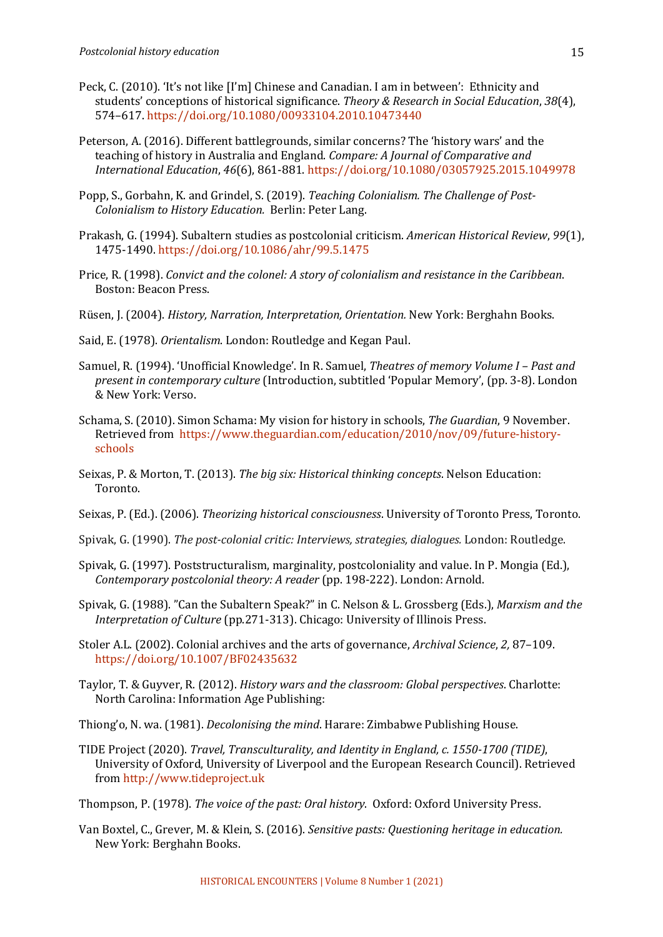- Peck, C. (2010). 'It's not like [I'm] Chinese and Canadian. I am in between': Ethnicity and students' conceptions of historical significance. *Theory & Research in Social Education*, 38(4), 574–617. https://doi.org/10.1080/00933104.2010.10473440
- Peterson, A. (2016). Different battlegrounds, similar concerns? The 'history wars' and the teaching of history in Australia and England. *Compare: A Journal of Comparative and International Education*, *46*(6), 861-881. https://doi.org/10.1080/03057925.2015.1049978
- Popp, S., Gorbahn, K. and Grindel, S. (2019). *Teaching Colonialism. The Challenge of Post-Colonialism to History Education.* Berlin: Peter Lang.
- Prakash, G. (1994). Subaltern studies as postcolonial criticism. American Historical Review, 99(1), 1475-1490. https://doi.org/10.1086/ahr/99.5.1475
- Price, R. (1998). *Convict and the colonel: A story of colonialism and resistance in the Caribbean.* Boston: Beacon Press.
- Rüsen, J. (2004). *History, Narration, Interpretation, Orientation.* New York: Berghahn Books.
- Said, E. (1978). *Orientalism*. London: Routledge and Kegan Paul.
- Samuel, R. (1994). 'Unofficial Knowledge'. In R. Samuel, *Theatres of memory Volume I Past and present in contemporary culture* (Introduction, subtitled 'Popular Memory', (pp. 3-8). London & New York: Verso.
- Schama, S. (2010). Simon Schama: My vision for history in schools, *The Guardian*, 9 November. Retrieved from https://www.theguardian.com/education/2010/nov/09/future-historyschools
- Seixas, P. & Morton, T. (2013). *The big six: Historical thinking concepts*. Nelson Education: Toronto.
- Seixas, P. (Ed.). (2006). *Theorizing historical consciousness*. University of Toronto Press, Toronto.
- Spivak, G. (1990). *The post-colonial critic: Interviews, strategies, dialogues.* London: Routledge.
- Spivak, G. (1997). Poststructuralism, marginality, postcoloniality and value. In P. Mongia (Ed.), *Contemporary postcolonial theory: A reader* (pp. 198-222). London: Arnold.
- Spivak, G. (1988). "Can the Subaltern Speak?" in C. Nelson & L. Grossberg (Eds.), *Marxism and the Interpretation of Culture* (pp.271-313). Chicago: University of Illinois Press.
- Stoler A.L. (2002). Colonial archives and the arts of governance, *Archival Science*, 2, 87-109. https://doi.org/10.1007/BF02435632
- Taylor, T. & Guyver, R. (2012). *History wars and the classroom: Global perspectives*. Charlotte: North Carolina: Information Age Publishing:
- Thiong'o, N. wa. (1981). *Decolonising the mind*. Harare: Zimbabwe Publishing House.
- TIDE Project (2020). *Travel, Transculturality, and Identity in England, c. 1550-1700 (TIDE)*, University of Oxford, University of Liverpool and the European Research Council). Retrieved from http://www.tideproject.uk
- Thompson, P. (1978). *The voice of the past: Oral history*. Oxford: Oxford University Press.
- Van Boxtel, C., Grever, M. & Klein, S. (2016). *Sensitive pasts: Questioning heritage in education.* New York: Berghahn Books.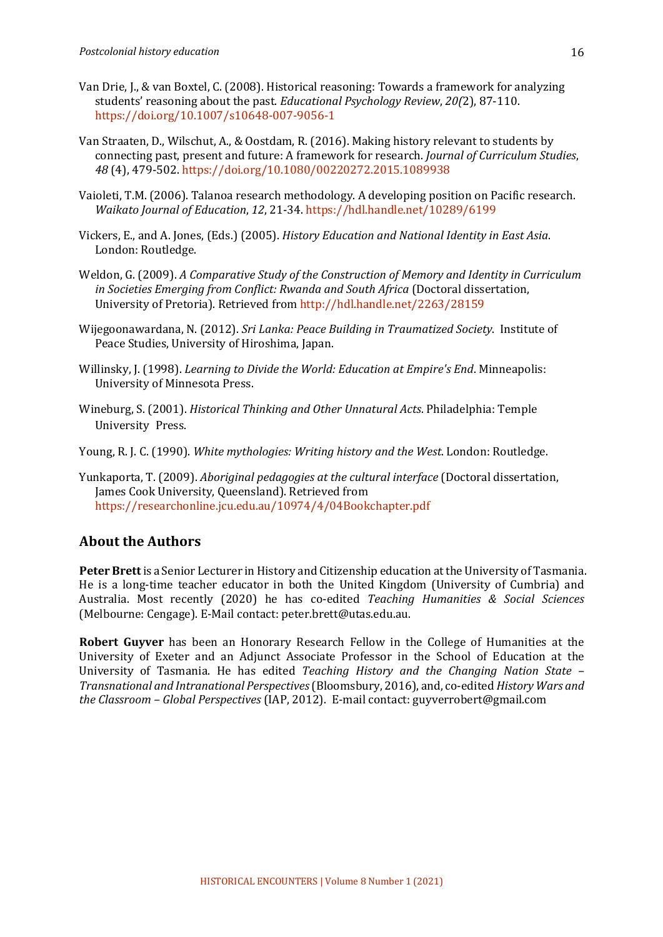- Van Drie, J., & van Boxtel, C. (2008). Historical reasoning: Towards a framework for analyzing students' reasoning about the past. *Educational Psychology Review*,  $20(2)$ , 87-110. https://doi.org/10.1007/s10648-007-9056-1
- Van Straaten, D., Wilschut, A., & Oostdam, R. (2016). Making history relevant to students by connecting past, present and future: A framework for research. *Journal of Curriculum Studies*, *48* (4), 479-502. https://doi.org/10.1080/00220272.2015.1089938
- Vaioleti, T.M. (2006). Talanoa research methodology. A developing position on Pacific research. *Waikato Journal of Education*, *12*, 21-34. https://hdl.handle.net/10289/6199
- Vickers, E., and A. Jones, (Eds.) (2005). *History Education and National Identity in East Asia*. London: Routledge.
- Weldon, G. (2009). A Comparative Study of the Construction of Memory and Identity in Curriculum *in Societies Emerging from Conflict: Rwanda and South Africa* (Doctoral dissertation, University of Pretoria). Retrieved from http://hdl.handle.net/2263/28159
- Wijegoonawardana, N. (2012). *Sri Lanka: Peace Building in Traumatized Society*. Institute of Peace Studies, University of Hiroshima, Japan.
- Willinsky, J. (1998). *Learning to Divide the World: Education at Empire's End.* Minneapolis: University of Minnesota Press.
- Wineburg, S. (2001). *Historical Thinking and Other Unnatural Acts*. Philadelphia: Temple University Press.
- Young, R. J. C. (1990). White mythologies: Writing history and the West. London: Routledge.
- Yunkaporta, T. (2009). *Aboriginal pedagogies at the cultural interface* (Doctoral dissertation, James Cook University, Queensland). Retrieved from https://researchonline.jcu.edu.au/10974/4/04Bookchapter.pdf

## **About the Authors**

**Peter Brett** is a Senior Lecturer in History and Citizenship education at the University of Tasmania. He is a long-time teacher educator in both the United Kingdom (University of Cumbria) and Australia. Most recently (2020) he has co-edited *Teaching Humanities & Social Sciences* (Melbourne: Cengage). E-Mail contact: peter.brett@utas.edu.au.

**Robert Guyver** has been an Honorary Research Fellow in the College of Humanities at the University of Exeter and an Adjunct Associate Professor in the School of Education at the University of Tasmania. He has edited *Teaching History and the Changing Nation State* – *Transnational and Intranational Perspectives*(Bloomsbury, 2016), and, co-edited *History Wars and the Classroom – Global Perspectives* (IAP, 2012). E-mail contact: guyverrobert@gmail.com